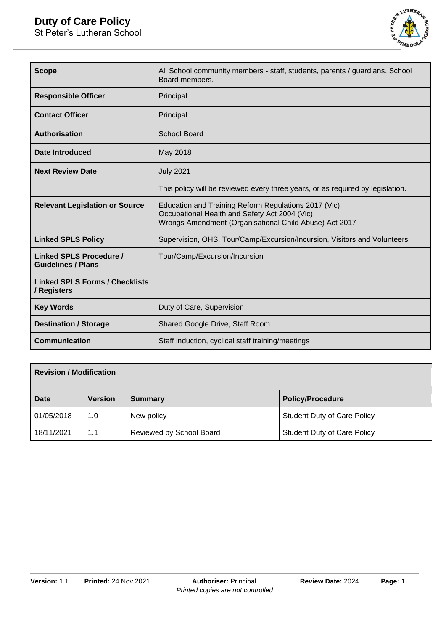

| <b>Scope</b>                                                | All School community members - staff, students, parents / guardians, School<br>Board members.                                                                   |  |
|-------------------------------------------------------------|-----------------------------------------------------------------------------------------------------------------------------------------------------------------|--|
| <b>Responsible Officer</b>                                  | Principal                                                                                                                                                       |  |
| <b>Contact Officer</b>                                      | Principal                                                                                                                                                       |  |
| <b>Authorisation</b>                                        | <b>School Board</b>                                                                                                                                             |  |
| <b>Date Introduced</b>                                      | May 2018                                                                                                                                                        |  |
| <b>Next Review Date</b>                                     | <b>July 2021</b>                                                                                                                                                |  |
|                                                             | This policy will be reviewed every three years, or as required by legislation.                                                                                  |  |
| <b>Relevant Legislation or Source</b>                       | Education and Training Reform Regulations 2017 (Vic)<br>Occupational Health and Safety Act 2004 (Vic)<br>Wrongs Amendment (Organisational Child Abuse) Act 2017 |  |
| <b>Linked SPLS Policy</b>                                   | Supervision, OHS, Tour/Camp/Excursion/Incursion, Visitors and Volunteers                                                                                        |  |
| <b>Linked SPLS Procedure /</b><br><b>Guidelines / Plans</b> | Tour/Camp/Excursion/Incursion                                                                                                                                   |  |
| <b>Linked SPLS Forms / Checklists</b><br>/ Registers        |                                                                                                                                                                 |  |
| <b>Key Words</b>                                            | Duty of Care, Supervision                                                                                                                                       |  |
| <b>Destination / Storage</b>                                | Shared Google Drive, Staff Room                                                                                                                                 |  |
| <b>Communication</b>                                        | Staff induction, cyclical staff training/meetings                                                                                                               |  |

| <b>Revision / Modification</b> |                |                          |                                    |
|--------------------------------|----------------|--------------------------|------------------------------------|
| <b>Date</b>                    | <b>Version</b> | <b>Summary</b>           | <b>Policy/Procedure</b>            |
| 01/05/2018                     | 1.0            | New policy               | <b>Student Duty of Care Policy</b> |
| 18/11/2021                     | 1.1            | Reviewed by School Board | <b>Student Duty of Care Policy</b> |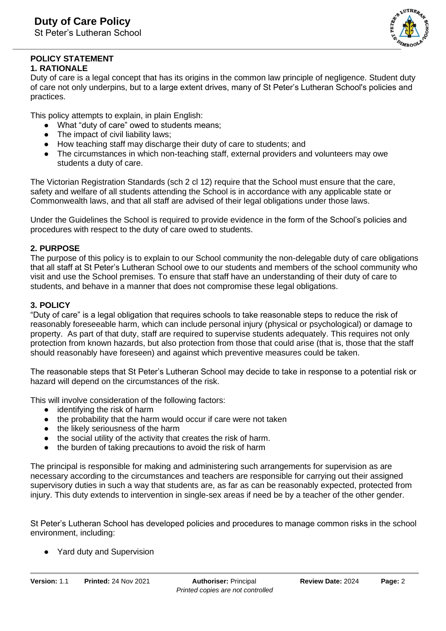

#### **POLICY STATEMENT 1. RATIONALE**

Duty of care is a legal concept that has its origins in the common law principle of negligence. Student duty of care not only underpins, but to a large extent drives, many of St Peter's Lutheran School's policies and practices.

This policy attempts to explain, in plain English:

- What "duty of care" owed to students means;
- The impact of civil liability laws;
- How teaching staff may discharge their duty of care to students; and
- The circumstances in which non-teaching staff, external providers and volunteers may owe students a duty of care.

The Victorian Registration Standards (sch 2 cl 12) require that the School must ensure that the care, safety and welfare of all students attending the School is in accordance with any applicable state or Commonwealth laws, and that all staff are advised of their legal obligations under those laws.

Under the Guidelines the School is required to provide evidence in the form of the School's policies and procedures with respect to the duty of care owed to students.

## **2. PURPOSE**

The purpose of this policy is to explain to our School community the non-delegable duty of care obligations that all staff at St Peter's Lutheran School owe to our students and members of the school community who visit and use the School premises. To ensure that staff have an understanding of their duty of care to students, and behave in a manner that does not compromise these legal obligations.

## **3. POLICY**

"Duty of care" is a legal obligation that requires schools to take reasonable steps to reduce the risk of reasonably foreseeable harm, which can include personal injury (physical or psychological) or damage to property. As part of that duty, staff are required to supervise students adequately. This requires not only protection from known hazards, but also protection from those that could arise (that is, those that the staff should reasonably have foreseen) and against which preventive measures could be taken.

The reasonable steps that St Peter's Lutheran School may decide to take in response to a potential risk or hazard will depend on the circumstances of the risk.

This will involve consideration of the following factors:

- identifying the risk of harm
- the probability that the harm would occur if care were not taken
- the likely seriousness of the harm
- the social utility of the activity that creates the risk of harm.
- the burden of taking precautions to avoid the risk of harm

The principal is responsible for making and administering such arrangements for supervision as are necessary according to the circumstances and teachers are responsible for carrying out their assigned supervisory duties in such a way that students are, as far as can be reasonably expected, protected from injury. This duty extends to intervention in single-sex areas if need be by a teacher of the other gender.

St Peter's Lutheran School has developed policies and procedures to manage common risks in the school environment, including:

● Yard duty and Supervision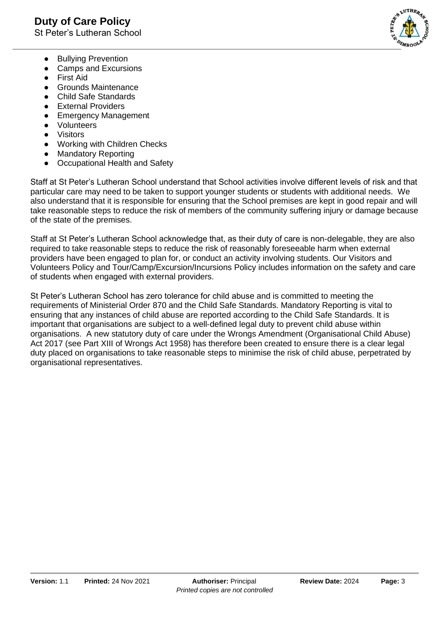

- Bullying Prevention
- Camps and Excursions
- First Aid
- Grounds Maintenance
- Child Safe Standards
- External Providers
- Emergency Management
- Volunteers
- Visitors
- Working with Children Checks
- Mandatory Reporting
- Occupational Health and Safety

Staff at St Peter's Lutheran School understand that School activities involve different levels of risk and that particular care may need to be taken to support younger students or students with additional needs. We also understand that it is responsible for ensuring that the School premises are kept in good repair and will take reasonable steps to reduce the risk of members of the community suffering injury or damage because of the state of the premises.

Staff at St Peter's Lutheran School acknowledge that, as their duty of care is non-delegable, they are also required to take reasonable steps to reduce the risk of reasonably foreseeable harm when external providers have been engaged to plan for, or conduct an activity involving students. Our Visitors and Volunteers Policy and Tour/Camp/Excursion/Incursions Policy includes information on the safety and care of students when engaged with external providers.

St Peter's Lutheran School has zero tolerance for child abuse and is committed to meeting the requirements of Ministerial Order 870 and the Child Safe Standards. Mandatory Reporting is vital to ensuring that any instances of child abuse are reported according to the Child Safe Standards. It is important that organisations are subject to a well-defined legal duty to prevent child abuse within organisations. A new statutory duty of care under the Wrongs Amendment (Organisational Child Abuse) Act 2017 (see Part XIII of Wrongs Act 1958) has therefore been created to ensure there is a clear legal duty placed on organisations to take reasonable steps to minimise the risk of child abuse, perpetrated by organisational representatives.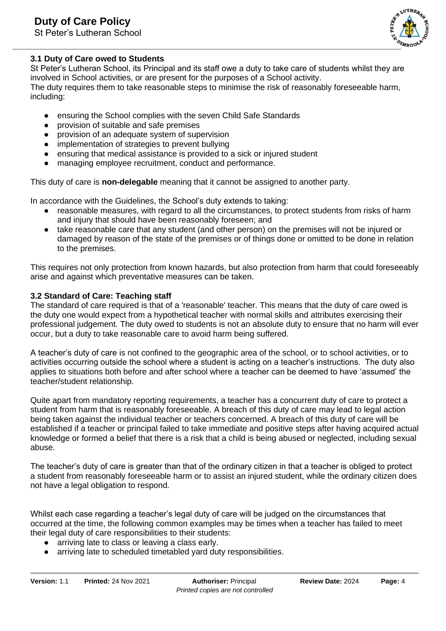St Peter's Lutheran School



## **3.1 Duty of Care owed to Students**

St Peter's Lutheran School, its Principal and its staff owe a duty to take care of students whilst they are involved in School activities, or are present for the purposes of a School activity. The duty requires them to take reasonable steps to minimise the risk of reasonably foreseeable harm, including:

- ensuring the School complies with the seven Child Safe Standards
- provision of suitable and safe premises
- provision of an adequate system of supervision
- implementation of strategies to prevent bullying
- ensuring that medical assistance is provided to a sick or injured student
- managing employee recruitment, conduct and performance.

This duty of care is **non-delegable** meaning that it cannot be assigned to another party.

In accordance with the Guidelines, the School's duty extends to taking:

- reasonable measures, with regard to all the circumstances, to protect students from risks of harm and injury that should have been reasonably foreseen; and
- take reasonable care that any student (and other person) on the premises will not be injured or damaged by reason of the state of the premises or of things done or omitted to be done in relation to the premises.

This requires not only protection from known hazards, but also protection from harm that could foreseeably arise and against which preventative measures can be taken.

## **3.2 Standard of Care: Teaching staff**

The standard of care required is that of a 'reasonable' teacher. This means that the duty of care owed is the duty one would expect from a hypothetical teacher with normal skills and attributes exercising their professional judgement. The duty owed to students is not an absolute duty to ensure that no harm will ever occur, but a duty to take reasonable care to avoid harm being suffered.

A teacher's duty of care is not confined to the geographic area of the school, or to school activities, or to activities occurring outside the school where a student is acting on a teacher's instructions. The duty also applies to situations both before and after school where a teacher can be deemed to have 'assumed' the teacher/student relationship.

Quite apart from mandatory reporting requirements, a teacher has a concurrent duty of care to protect a student from harm that is reasonably foreseeable. A breach of this duty of care may lead to legal action being taken against the individual teacher or teachers concerned. A breach of this duty of care will be established if a teacher or principal failed to take immediate and positive steps after having acquired actual knowledge or formed a belief that there is a risk that a child is being abused or neglected, including sexual abuse.

The teacher's duty of care is greater than that of the ordinary citizen in that a teacher is obliged to protect a student from reasonably foreseeable harm or to assist an injured student, while the ordinary citizen does not have a legal obligation to respond.

Whilst each case regarding a teacher's legal duty of care will be judged on the circumstances that occurred at the time, the following common examples may be times when a teacher has failed to meet their legal duty of care responsibilities to their students:

- arriving late to class or leaving a class early.
- arriving late to scheduled timetabled yard duty responsibilities.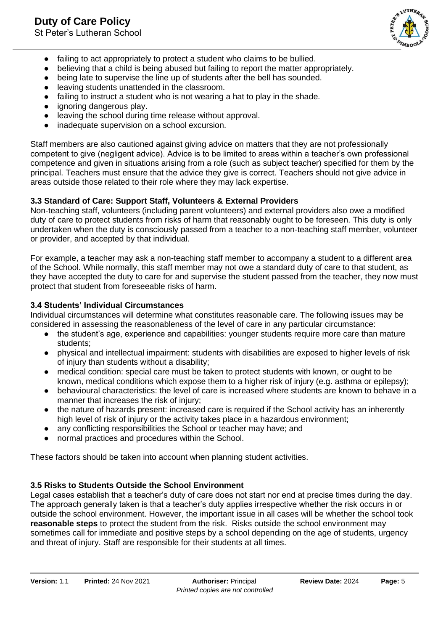

- failing to act appropriately to protect a student who claims to be bullied.
- believing that a child is being abused but failing to report the matter appropriately.
- being late to supervise the line up of students after the bell has sounded.
- leaving students unattended in the classroom.
- failing to instruct a student who is not wearing a hat to play in the shade.
- ignoring dangerous play.
- leaving the school during time release without approval.
- inadequate supervision on a school excursion.

Staff members are also cautioned against giving advice on matters that they are not professionally competent to give (negligent advice). Advice is to be limited to areas within a teacher's own professional competence and given in situations arising from a role (such as subject teacher) specified for them by the principal. Teachers must ensure that the advice they give is correct. Teachers should not give advice in areas outside those related to their role where they may lack expertise.

## **3.3 Standard of Care: Support Staff, Volunteers & External Providers**

Non-teaching staff, volunteers (including parent volunteers) and external providers also owe a modified duty of care to protect students from risks of harm that reasonably ought to be foreseen. This duty is only undertaken when the duty is consciously passed from a teacher to a non-teaching staff member, volunteer or provider, and accepted by that individual.

For example, a teacher may ask a non-teaching staff member to accompany a student to a different area of the School. While normally, this staff member may not owe a standard duty of care to that student, as they have accepted the duty to care for and supervise the student passed from the teacher, they now must protect that student from foreseeable risks of harm.

#### **3.4 Students' Individual Circumstances**

Individual circumstances will determine what constitutes reasonable care. The following issues may be considered in assessing the reasonableness of the level of care in any particular circumstance:

- the student's age, experience and capabilities: younger students require more care than mature students;
- physical and intellectual impairment: students with disabilities are exposed to higher levels of risk of injury than students without a disability;
- medical condition: special care must be taken to protect students with known, or ought to be known, medical conditions which expose them to a higher risk of injury (e.g. asthma or epilepsy);
- behavioural characteristics: the level of care is increased where students are known to behave in a manner that increases the risk of injury;
- the nature of hazards present: increased care is required if the School activity has an inherently high level of risk of injury or the activity takes place in a hazardous environment;
- any conflicting responsibilities the School or teacher may have; and
- normal practices and procedures within the School.

These factors should be taken into account when planning student activities.

## **3.5 Risks to Students Outside the School Environment**

Legal cases establish that a teacher's duty of care does not start nor end at precise times during the day. The approach generally taken is that a teacher's duty applies irrespective whether the risk occurs in or outside the school environment. However, the important issue in all cases will be whether the school took **reasonable steps** to protect the student from the risk. Risks outside the school environment may sometimes call for immediate and positive steps by a school depending on the age of students, urgency and threat of injury. Staff are responsible for their students at all times.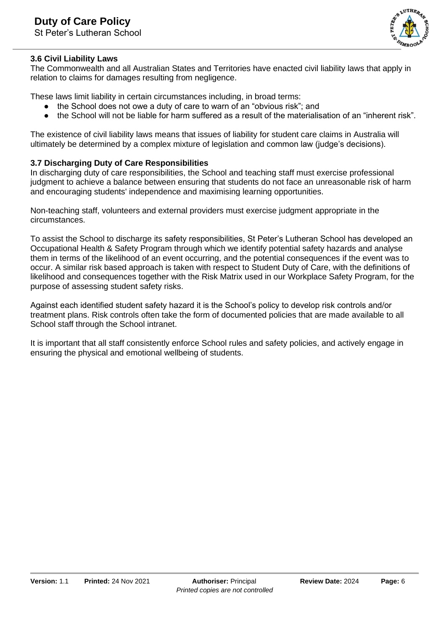

### **3.6 Civil Liability Laws**

The Commonwealth and all Australian States and Territories have enacted civil liability laws that apply in relation to claims for damages resulting from negligence.

These laws limit liability in certain circumstances including, in broad terms:

- the School does not owe a duty of care to warn of an "obvious risk"; and
- the School will not be liable for harm suffered as a result of the materialisation of an "inherent risk".

The existence of civil liability laws means that issues of liability for student care claims in Australia will ultimately be determined by a complex mixture of legislation and common law (judge's decisions).

#### **3.7 Discharging Duty of Care Responsibilities**

In discharging duty of care responsibilities, the School and teaching staff must exercise professional judgment to achieve a balance between ensuring that students do not face an unreasonable risk of harm and encouraging students' independence and maximising learning opportunities.

Non-teaching staff, volunteers and external providers must exercise judgment appropriate in the circumstances.

To assist the School to discharge its safety responsibilities, St Peter's Lutheran School has developed an Occupational Health & Safety Program through which we identify potential safety hazards and analyse them in terms of the likelihood of an event occurring, and the potential consequences if the event was to occur. A similar risk based approach is taken with respect to Student Duty of Care, with the definitions of likelihood and consequences together with the Risk Matrix used in our Workplace Safety Program, for the purpose of assessing student safety risks.

Against each identified student safety hazard it is the School's policy to develop risk controls and/or treatment plans. Risk controls often take the form of documented policies that are made available to all School staff through the School intranet.

It is important that all staff consistently enforce School rules and safety policies, and actively engage in ensuring the physical and emotional wellbeing of students.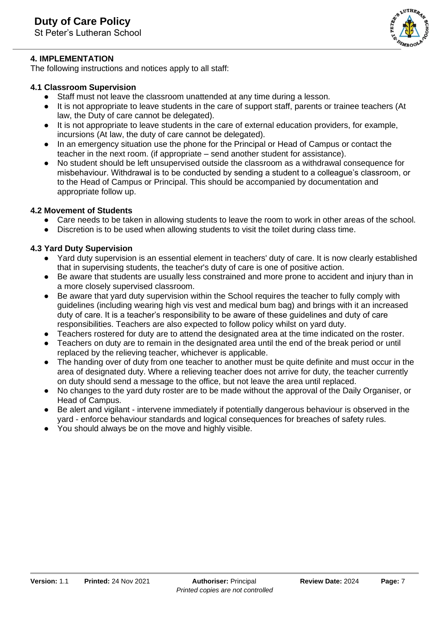

## **4. IMPLEMENTATION**

The following instructions and notices apply to all staff:

## **4.1 Classroom Supervision**

- Staff must not leave the classroom unattended at any time during a lesson.
- It is not appropriate to leave students in the care of support staff, parents or trainee teachers (At law, the Duty of care cannot be delegated).
- It is not appropriate to leave students in the care of external education providers, for example, incursions (At law, the duty of care cannot be delegated).
- In an emergency situation use the phone for the Principal or Head of Campus or contact the teacher in the next room. (if appropriate – send another student for assistance).
- No student should be left unsupervised outside the classroom as a withdrawal consequence for misbehaviour. Withdrawal is to be conducted by sending a student to a colleague's classroom, or to the Head of Campus or Principal. This should be accompanied by documentation and appropriate follow up.

## **4.2 Movement of Students**

- Care needs to be taken in allowing students to leave the room to work in other areas of the school.
- Discretion is to be used when allowing students to visit the toilet during class time.

# **4.3 Yard Duty Supervision**

- Yard duty supervision is an essential element in teachers' duty of care. It is now clearly established that in supervising students, the teacher's duty of care is one of positive action.
- Be aware that students are usually less constrained and more prone to accident and injury than in a more closely supervised classroom.
- Be aware that yard duty supervision within the School requires the teacher to fully comply with guidelines (including wearing high vis vest and medical bum bag) and brings with it an increased duty of care. It is a teacher's responsibility to be aware of these guidelines and duty of care responsibilities. Teachers are also expected to follow policy whilst on yard duty.
- Teachers rostered for duty are to attend the designated area at the time indicated on the roster.
- Teachers on duty are to remain in the designated area until the end of the break period or until replaced by the relieving teacher, whichever is applicable.
- The handing over of duty from one teacher to another must be quite definite and must occur in the area of designated duty. Where a relieving teacher does not arrive for duty, the teacher currently on duty should send a message to the office, but not leave the area until replaced.
- No changes to the yard duty roster are to be made without the approval of the Daily Organiser, or Head of Campus.
- Be alert and vigilant intervene immediately if potentially dangerous behaviour is observed in the yard - enforce behaviour standards and logical consequences for breaches of safety rules.
- You should always be on the move and highly visible.